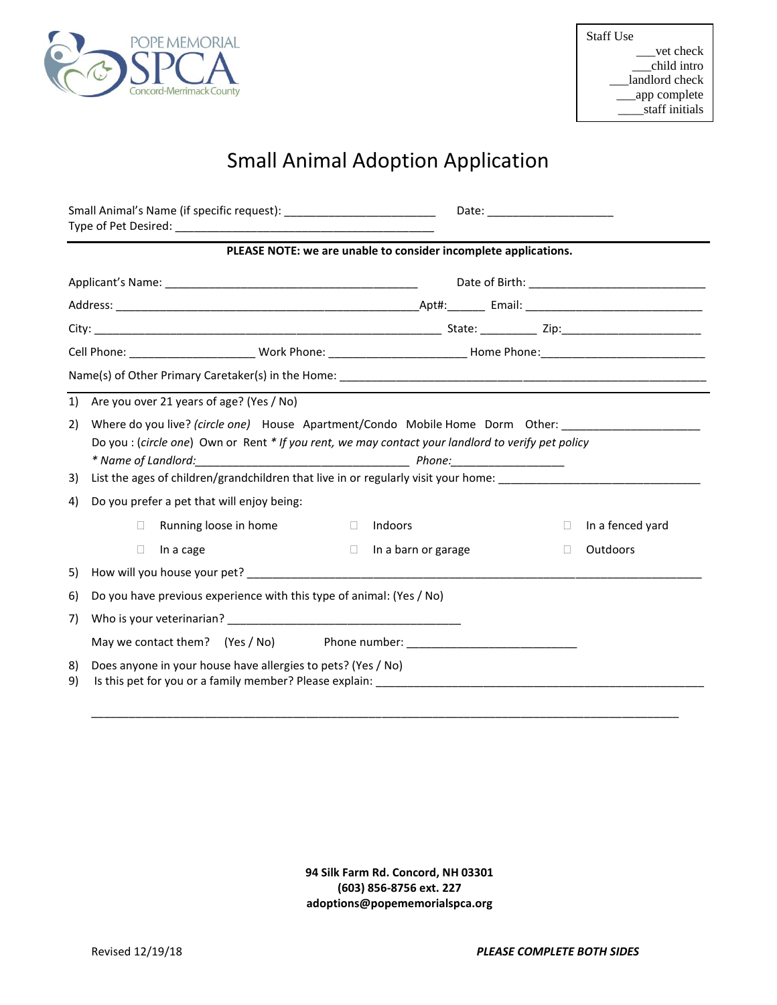

## Small Animal Adoption Application

|          |                                                                                                                                                                                                                                                                           | Date: the contract of the contract of the contract of the contract of the contract of the contract of the contract of the contract of the contract of the contract of the contract of the contract of the contract of the cont |              |                  |  |  |  |  |  |
|----------|---------------------------------------------------------------------------------------------------------------------------------------------------------------------------------------------------------------------------------------------------------------------------|--------------------------------------------------------------------------------------------------------------------------------------------------------------------------------------------------------------------------------|--------------|------------------|--|--|--|--|--|
|          | PLEASE NOTE: we are unable to consider incomplete applications.                                                                                                                                                                                                           |                                                                                                                                                                                                                                |              |                  |  |  |  |  |  |
|          |                                                                                                                                                                                                                                                                           |                                                                                                                                                                                                                                |              |                  |  |  |  |  |  |
|          |                                                                                                                                                                                                                                                                           |                                                                                                                                                                                                                                |              |                  |  |  |  |  |  |
|          |                                                                                                                                                                                                                                                                           |                                                                                                                                                                                                                                |              |                  |  |  |  |  |  |
|          |                                                                                                                                                                                                                                                                           |                                                                                                                                                                                                                                |              |                  |  |  |  |  |  |
|          |                                                                                                                                                                                                                                                                           |                                                                                                                                                                                                                                |              |                  |  |  |  |  |  |
|          |                                                                                                                                                                                                                                                                           |                                                                                                                                                                                                                                |              |                  |  |  |  |  |  |
|          | 1) Are you over 21 years of age? (Yes / No)                                                                                                                                                                                                                               |                                                                                                                                                                                                                                |              |                  |  |  |  |  |  |
| 2)<br>3) | Where do you live? (circle one) House Apartment/Condo Mobile Home Dorm Other:<br>Do you : (circle one) Own or Rent * If you rent, we may contact your landlord to verify pet policy<br>List the ages of children/grandchildren that live in or regularly visit your home: |                                                                                                                                                                                                                                |              |                  |  |  |  |  |  |
| 4)       | Do you prefer a pet that will enjoy being:                                                                                                                                                                                                                                |                                                                                                                                                                                                                                |              |                  |  |  |  |  |  |
|          | Running loose in home<br>Indoors<br>П.<br>$\Box$                                                                                                                                                                                                                          |                                                                                                                                                                                                                                | $\mathbf{L}$ | In a fenced yard |  |  |  |  |  |
|          | $\Box$<br>In a cage<br>$\Box$                                                                                                                                                                                                                                             | In a barn or garage                                                                                                                                                                                                            | П            | Outdoors         |  |  |  |  |  |
| 5)       |                                                                                                                                                                                                                                                                           |                                                                                                                                                                                                                                |              |                  |  |  |  |  |  |
| 6)       | Do you have previous experience with this type of animal: (Yes / No)                                                                                                                                                                                                      |                                                                                                                                                                                                                                |              |                  |  |  |  |  |  |
| 7)       |                                                                                                                                                                                                                                                                           |                                                                                                                                                                                                                                |              |                  |  |  |  |  |  |
|          | May we contact them? (Yes / No) Phone number: __________________________________                                                                                                                                                                                          |                                                                                                                                                                                                                                |              |                  |  |  |  |  |  |
| 8)<br>9) | Does anyone in your house have allergies to pets? (Yes / No)<br>Is this pet for you or a family member? Please explain: _________________________                                                                                                                         |                                                                                                                                                                                                                                |              |                  |  |  |  |  |  |

**94 Silk Farm Rd. Concord, NH 03301 (603) 856-8756 ext. 227 adoptions@popememorialspca.org**

\_\_\_\_\_\_\_\_\_\_\_\_\_\_\_\_\_\_\_\_\_\_\_\_\_\_\_\_\_\_\_\_\_\_\_\_\_\_\_\_\_\_\_\_\_\_\_\_\_\_\_\_\_\_\_\_\_\_\_\_\_\_\_\_\_\_\_\_\_\_\_\_\_\_\_\_\_\_\_\_\_\_\_\_\_\_\_\_\_\_\_\_\_